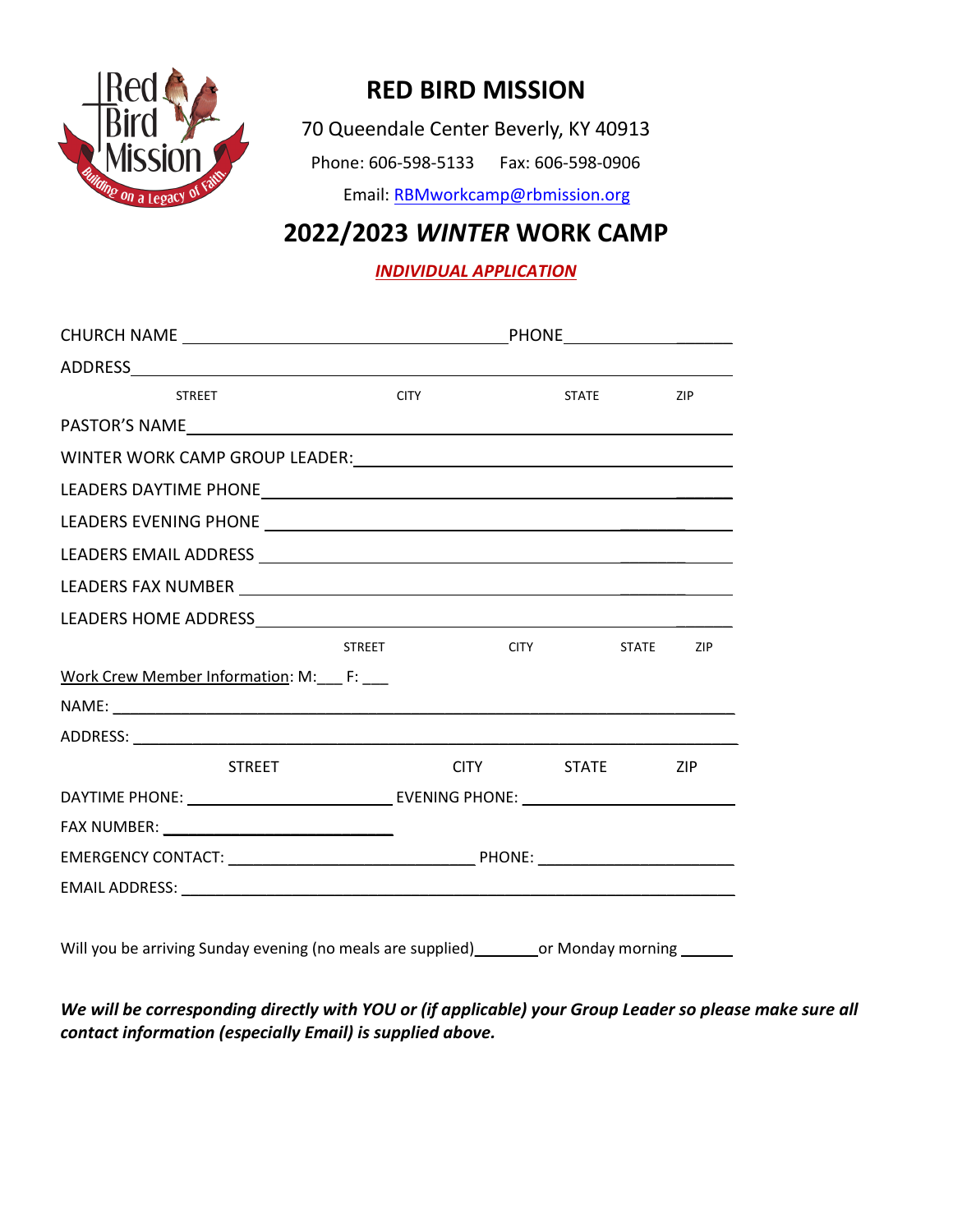

## RED BIRD MISSION

70 Queendale Center Beverly, KY 40913

Phone: 606-598-5133 Fax: 606-598-0906

Email: RBMworkcamp@rbmission.org

## 2022/2023 WINTER WORK CAMP

INDIVIDUAL APPLICATION

| <b>STREET</b>                                                                                                                                                                                                                  |               | <b>CITY</b>      |       | <b>STATE</b> | ZIP        |  |  |
|--------------------------------------------------------------------------------------------------------------------------------------------------------------------------------------------------------------------------------|---------------|------------------|-------|--------------|------------|--|--|
| PASTOR'S NAME And the state of the state of the state of the state of the state of the state of the state of the state of the state of the state of the state of the state of the state of the state of the state of the state |               |                  |       |              |            |  |  |
|                                                                                                                                                                                                                                |               |                  |       |              |            |  |  |
|                                                                                                                                                                                                                                |               |                  |       |              |            |  |  |
|                                                                                                                                                                                                                                |               |                  |       |              |            |  |  |
|                                                                                                                                                                                                                                |               |                  |       |              |            |  |  |
|                                                                                                                                                                                                                                |               |                  |       |              |            |  |  |
|                                                                                                                                                                                                                                |               |                  |       |              |            |  |  |
|                                                                                                                                                                                                                                | <b>STREET</b> | <b>CITY</b>      |       | STATE        | ZIP        |  |  |
| Work Crew Member Information: M:___ F: ___                                                                                                                                                                                     |               |                  |       |              |            |  |  |
|                                                                                                                                                                                                                                |               |                  |       |              |            |  |  |
|                                                                                                                                                                                                                                |               |                  |       |              |            |  |  |
| <b>STREET</b>                                                                                                                                                                                                                  |               | <b>CITY CITY</b> | STATE |              | <b>ZIP</b> |  |  |
|                                                                                                                                                                                                                                |               |                  |       |              |            |  |  |
|                                                                                                                                                                                                                                |               |                  |       |              |            |  |  |
|                                                                                                                                                                                                                                |               |                  |       |              |            |  |  |
|                                                                                                                                                                                                                                |               |                  |       |              |            |  |  |

We will be corresponding directly with YOU or (if applicable) your Group Leader so please make sure all contact information (especially Email) is supplied above.